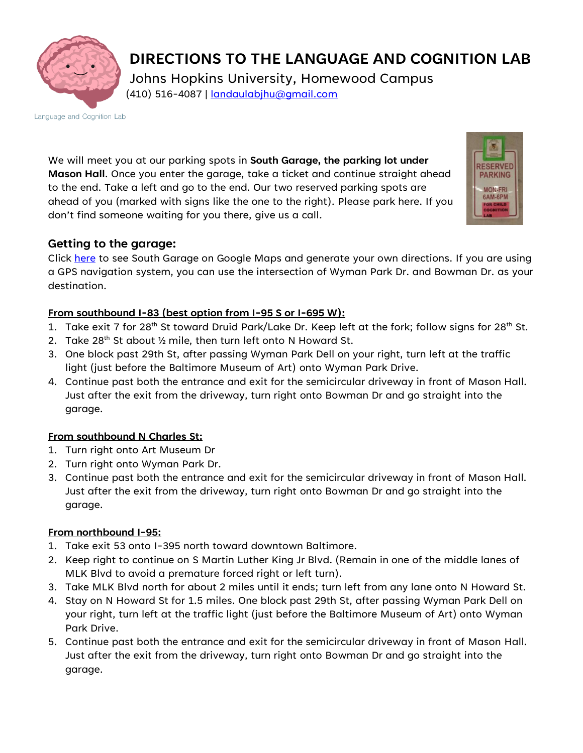

**DIRECTIONS TO THE LANGUAGE AND COGNITION LAB** Johns Hopkins University, Homewood Campus (410) 516-4087 | [landaulabjhu@gmail.com](mailto:landaulabjhu@gmail.com)

Language and Cognition Lab

We will meet you at our parking spots in **South Garage, the parking lot under Mason Hall**. Once you enter the garage, take a ticket and continue straight ahead to the end. Take a left and go to the end. Our two reserved parking spots are ahead of you (marked with signs like the one to the right). Please park here. If you don't find someone waiting for you there, give us a call.



Click [here](https://maps.google.com/maps/ms?msid=200365070022719959307.0004f46a2709beaeb05c6&msa=0) to see South Garage on Google Maps and generate your own directions. If you are using a GPS navigation system, you can use the intersection of Wyman Park Dr. and Bowman Dr. as your destination.

## **From southbound I-83 (best option from I-95 S or I-695 W):**

- 1. Take exit 7 for 28<sup>th</sup> St toward Druid Park/Lake Dr. Keep left at the fork; follow signs for 28<sup>th</sup> St.
- 2. Take  $28^{th}$  St about  $\frac{1}{2}$  mile, then turn left onto N Howard St.
- 3. One block past 29th St, after passing Wyman Park Dell on your right, turn left at the traffic light (just before the Baltimore Museum of Art) onto Wyman Park Drive.
- 4. Continue past both the entrance and exit for the semicircular driveway in front of Mason Hall. Just after the exit from the driveway, turn right onto Bowman Dr and go straight into the garage.

## **From southbound N Charles St:**

- 1. Turn right onto Art Museum Dr
- 2. Turn right onto Wyman Park Dr.
- 3. Continue past both the entrance and exit for the semicircular driveway in front of Mason Hall. Just after the exit from the driveway, turn right onto Bowman Dr and go straight into the garage.

## **From northbound I-95:**

- 1. Take exit 53 onto I-395 north toward downtown Baltimore.
- 2. Keep right to continue on S Martin Luther King Jr Blvd. (Remain in one of the middle lanes of MLK Blvd to avoid a premature forced right or left turn).
- 3. Take MLK Blvd north for about 2 miles until it ends; turn left from any lane onto N Howard St.
- 4. Stay on N Howard St for 1.5 miles. One block past 29th St, after passing Wyman Park Dell on your right, turn left at the traffic light (just before the Baltimore Museum of Art) onto Wyman Park Drive.
- 5. Continue past both the entrance and exit for the semicircular driveway in front of Mason Hall. Just after the exit from the driveway, turn right onto Bowman Dr and go straight into the garage.